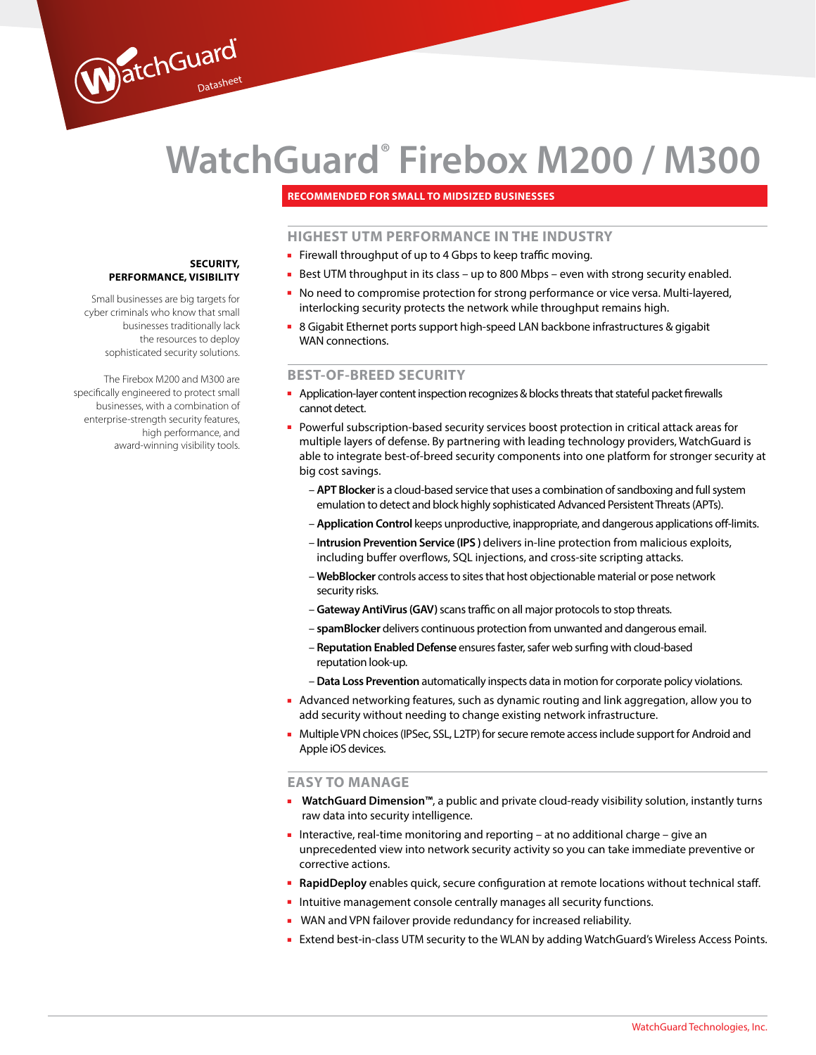# **WatchGuard® Firebox M200 / M300**

# **Recommended for Small to midsized businesses**

# **HIGHEST UTM PERFORMANCE IN THE INDUSTRY**

- Firewall throughput of up to 4 Gbps to keep traffic moving.
- Best UTM throughput in its class up to 800 Mbps even with strong security enabled.
- No need to compromise protection for strong performance or vice versa. Multi-layered, interlocking security protects the network while throughput remains high.
- 8 Gigabit Ethernet ports support high-speed LAN backbone infrastructures & gigabit WAN connections.

### **BEST-OF-BREED SECURITY**

- Application-layer content inspection recognizes & blocks threats that stateful packet firewalls cannot detect.
- Powerful subscription-based security services boost protection in critical attack areas for multiple layers of defense. By partnering with leading technology providers, WatchGuard is able to integrate best-of-breed security components into one platform for stronger security at big cost savings.
	- **APT Blocker** is a cloud-based service that uses a combination of sandboxing and full system emulation to detect and block highly sophisticated Advanced Persistent Threats (APTs).
	- **Application Control** keeps unproductive, inappropriate, and dangerous applications off-limits.
	- **Intrusion Prevention Service (IPS )** delivers in-line protection from malicious exploits, including buffer overflows, SQL injections, and cross-site scripting attacks.
	- **WebBlocker** controls access to sites that host objectionable material or pose network security risks.
	- **Gateway AntiVirus (GAV)** scans traffic on all major protocols to stop threats.
	- **spamBlocker** delivers continuous protection from unwanted and dangerous email.
	- **Reputation Enabled Defense** ensures faster, safer web surfing with cloud-based reputation look-up.
	- **Data Loss Prevention** automatically inspects data in motion for corporate policy violations.
- Advanced networking features, such as dynamic routing and link aggregation, allow you to add security without needing to change existing network infrastructure.
- Multiple VPN choices (IPSec, SSL, L2TP) for secure remote access include support for Android and Apple iOS devices.

# **EASY TO MANAGE**

- **WatchGuard Dimension™**, a public and private cloud-ready visibility solution, instantly turns raw data into security intelligence.
- Interactive, real-time monitoring and reporting at no additional charge give an unprecedented view into network security activity so you can take immediate preventive or corrective actions.
- **RapidDeploy** enables quick, secure configuration at remote locations without technical staff.
- Intuitive management console centrally manages all security functions.
- WAN and VPN failover provide redundancy for increased reliability.
- Extend best-in-class UTM security to the WLAN by adding WatchGuard's Wireless Access Points.

## **Security, performance , visibility**

WatchGuard

Small businesses are big targets for cyber criminals who know that small businesses traditionally lack the resources to deploy sophisticated security solutions.

The Firebox M200 and M300 are specifically engineered to protect small businesses, with a combination of enterprise-strength security features, high performance, and award-winning visibility tools.